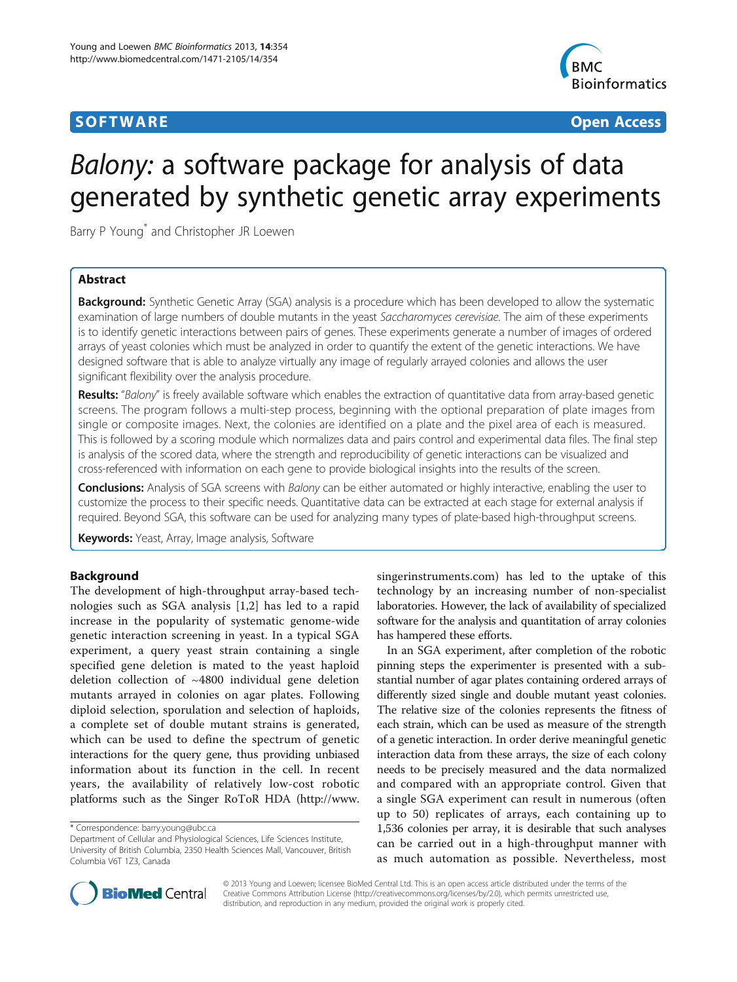## **SOFTWARE SOFTWARE** *CONSERVERSE EXECUTIVE EXECUTIVE EXECUTIVE EXECUTIVE EXECUTIVE EXECUTIVE EXECUTIVE EXECUTIVE EXECUTIVE EXECUTIVE EXECUTIVE EXECUTIVE EXECUTIVE EXECUTIVE EXECUTIVE EXECUTIVE EXECUTIVE EXECUTIVE EXECUT*



# Balony: a software package for analysis of data generated by synthetic genetic array experiments

Barry P Young\* and Christopher JR Loewen

## Abstract

Background: Synthetic Genetic Array (SGA) analysis is a procedure which has been developed to allow the systematic examination of large numbers of double mutants in the yeast Saccharomyces cerevisiae. The aim of these experiments is to identify genetic interactions between pairs of genes. These experiments generate a number of images of ordered arrays of yeast colonies which must be analyzed in order to quantify the extent of the genetic interactions. We have designed software that is able to analyze virtually any image of regularly arrayed colonies and allows the user significant flexibility over the analysis procedure.

Results: "Balony" is freely available software which enables the extraction of quantitative data from array-based genetic screens. The program follows a multi-step process, beginning with the optional preparation of plate images from single or composite images. Next, the colonies are identified on a plate and the pixel area of each is measured. This is followed by a scoring module which normalizes data and pairs control and experimental data files. The final step is analysis of the scored data, where the strength and reproducibility of genetic interactions can be visualized and cross-referenced with information on each gene to provide biological insights into the results of the screen.

Conclusions: Analysis of SGA screens with Balony can be either automated or highly interactive, enabling the user to customize the process to their specific needs. Quantitative data can be extracted at each stage for external analysis if required. Beyond SGA, this software can be used for analyzing many types of plate-based high-throughput screens.

**Keywords:** Yeast, Array, Image analysis, Software

## Background

The development of high-throughput array-based technologies such as SGA analysis [[1,2](#page-16-0)] has led to a rapid increase in the popularity of systematic genome-wide genetic interaction screening in yeast. In a typical SGA experiment, a query yeast strain containing a single specified gene deletion is mated to the yeast haploid deletion collection of ~4800 individual gene deletion mutants arrayed in colonies on agar plates. Following diploid selection, sporulation and selection of haploids, a complete set of double mutant strains is generated, which can be used to define the spectrum of genetic interactions for the query gene, thus providing unbiased information about its function in the cell. In recent years, the availability of relatively low-cost robotic platforms such as the Singer RoToR HDA ([http://www.](http://www.singerinstruments.com)

[singerinstruments.com](http://www.singerinstruments.com)) has led to the uptake of this technology by an increasing number of non-specialist laboratories. However, the lack of availability of specialized software for the analysis and quantitation of array colonies has hampered these efforts.

In an SGA experiment, after completion of the robotic pinning steps the experimenter is presented with a substantial number of agar plates containing ordered arrays of differently sized single and double mutant yeast colonies. The relative size of the colonies represents the fitness of each strain, which can be used as measure of the strength of a genetic interaction. In order derive meaningful genetic interaction data from these arrays, the size of each colony needs to be precisely measured and the data normalized and compared with an appropriate control. Given that a single SGA experiment can result in numerous (often up to 50) replicates of arrays, each containing up to 1,536 colonies per array, it is desirable that such analyses can be carried out in a high-throughput manner with as much automation as possible. Nevertheless, most



© 2013 Young and Loewen; licensee BioMed Central Ltd. This is an open access article distributed under the terms of the Creative Commons Attribution License (<http://creativecommons.org/licenses/by/2.0>), which permits unrestricted use, distribution, and reproduction in any medium, provided the original work is properly cited.

<sup>\*</sup> Correspondence: [barry.young@ubc.ca](mailto:barry.young@ubc.ca)

Department of Cellular and Physiological Sciences, Life Sciences Institute, University of British Columbia, 2350 Health Sciences Mall, Vancouver, British Columbia V6T 1Z3, Canada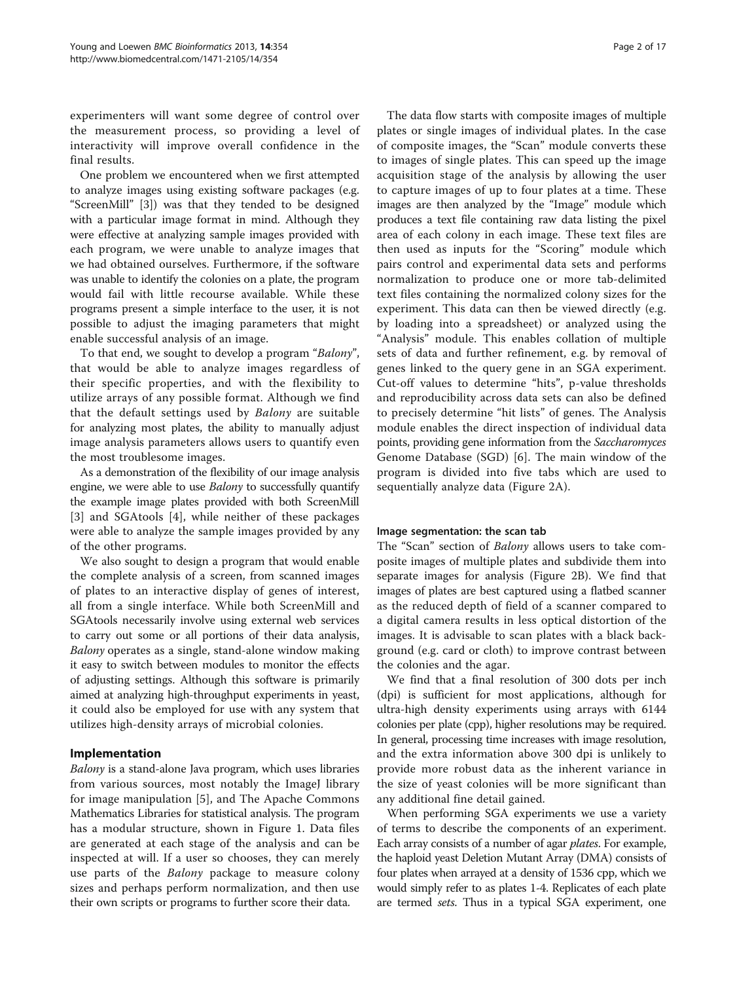experimenters will want some degree of control over the measurement process, so providing a level of interactivity will improve overall confidence in the final results.

One problem we encountered when we first attempted to analyze images using existing software packages (e.g. "ScreenMill" [[3\]](#page-16-0)) was that they tended to be designed with a particular image format in mind. Although they were effective at analyzing sample images provided with each program, we were unable to analyze images that we had obtained ourselves. Furthermore, if the software was unable to identify the colonies on a plate, the program would fail with little recourse available. While these programs present a simple interface to the user, it is not possible to adjust the imaging parameters that might enable successful analysis of an image.

To that end, we sought to develop a program "Balony", that would be able to analyze images regardless of their specific properties, and with the flexibility to utilize arrays of any possible format. Although we find that the default settings used by Balony are suitable for analyzing most plates, the ability to manually adjust image analysis parameters allows users to quantify even the most troublesome images.

As a demonstration of the flexibility of our image analysis engine, we were able to use *Balony* to successfully quantify the example image plates provided with both ScreenMill [[3\]](#page-16-0) and SGAtools [[4\]](#page-16-0), while neither of these packages were able to analyze the sample images provided by any of the other programs.

We also sought to design a program that would enable the complete analysis of a screen, from scanned images of plates to an interactive display of genes of interest, all from a single interface. While both ScreenMill and SGAtools necessarily involve using external web services to carry out some or all portions of their data analysis, Balony operates as a single, stand-alone window making it easy to switch between modules to monitor the effects of adjusting settings. Although this software is primarily aimed at analyzing high-throughput experiments in yeast, it could also be employed for use with any system that utilizes high-density arrays of microbial colonies.

## Implementation

Balony is a stand-alone Java program, which uses libraries from various sources, most notably the ImageJ library for image manipulation [\[5\]](#page-16-0), and The Apache Commons Mathematics Libraries for statistical analysis. The program has a modular structure, shown in Figure [1](#page-3-0). Data files are generated at each stage of the analysis and can be inspected at will. If a user so chooses, they can merely use parts of the *Balony* package to measure colony sizes and perhaps perform normalization, and then use their own scripts or programs to further score their data.

The data flow starts with composite images of multiple plates or single images of individual plates. In the case of composite images, the "Scan" module converts these to images of single plates. This can speed up the image acquisition stage of the analysis by allowing the user to capture images of up to four plates at a time. These images are then analyzed by the "Image" module which produces a text file containing raw data listing the pixel area of each colony in each image. These text files are then used as inputs for the "Scoring" module which pairs control and experimental data sets and performs normalization to produce one or more tab-delimited text files containing the normalized colony sizes for the experiment. This data can then be viewed directly (e.g. by loading into a spreadsheet) or analyzed using the "Analysis" module. This enables collation of multiple sets of data and further refinement, e.g. by removal of genes linked to the query gene in an SGA experiment. Cut-off values to determine "hits", p-value thresholds and reproducibility across data sets can also be defined to precisely determine "hit lists" of genes. The Analysis module enables the direct inspection of individual data points, providing gene information from the Saccharomyces Genome Database (SGD) [\[6](#page-16-0)]. The main window of the program is divided into five tabs which are used to sequentially analyze data (Figure [2A](#page-3-0)).

#### Image segmentation: the scan tab

The "Scan" section of *Balony* allows users to take composite images of multiple plates and subdivide them into separate images for analysis (Figure [2B](#page-3-0)). We find that images of plates are best captured using a flatbed scanner as the reduced depth of field of a scanner compared to a digital camera results in less optical distortion of the images. It is advisable to scan plates with a black background (e.g. card or cloth) to improve contrast between the colonies and the agar.

We find that a final resolution of 300 dots per inch (dpi) is sufficient for most applications, although for ultra-high density experiments using arrays with 6144 colonies per plate (cpp), higher resolutions may be required. In general, processing time increases with image resolution, and the extra information above 300 dpi is unlikely to provide more robust data as the inherent variance in the size of yeast colonies will be more significant than any additional fine detail gained.

When performing SGA experiments we use a variety of terms to describe the components of an experiment. Each array consists of a number of agar plates. For example, the haploid yeast Deletion Mutant Array (DMA) consists of four plates when arrayed at a density of 1536 cpp, which we would simply refer to as plates 1-4. Replicates of each plate are termed sets. Thus in a typical SGA experiment, one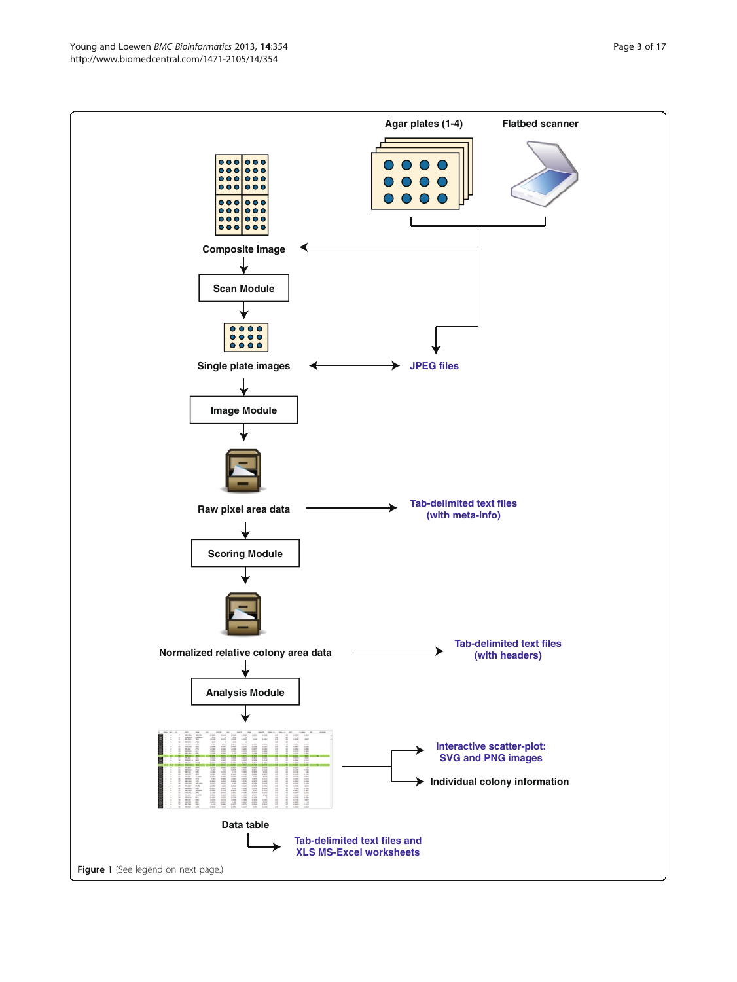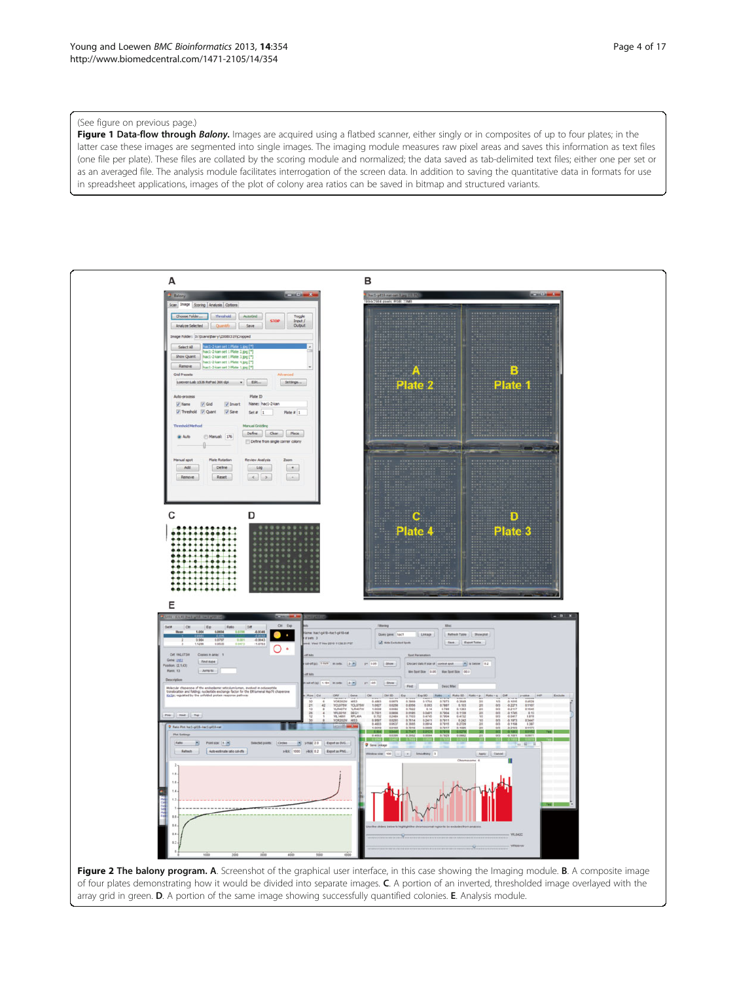#### <span id="page-3-0"></span>(See figure on previous page.)

Figure 1 Data-flow through Balony. Images are acquired using a flatbed scanner, either singly or in composites of up to four plates; in the latter case these images are segmented into single images. The imaging module measures raw pixel areas and saves this information as text files (one file per plate). These files are collated by the scoring module and normalized; the data saved as tab-delimited text files; either one per set or as an averaged file. The analysis module facilitates interrogation of the screen data. In addition to saving the quantitative data in formats for use in spreadsheet applications, images of the plot of colony area ratios can be saved in bitmap and structured variants.

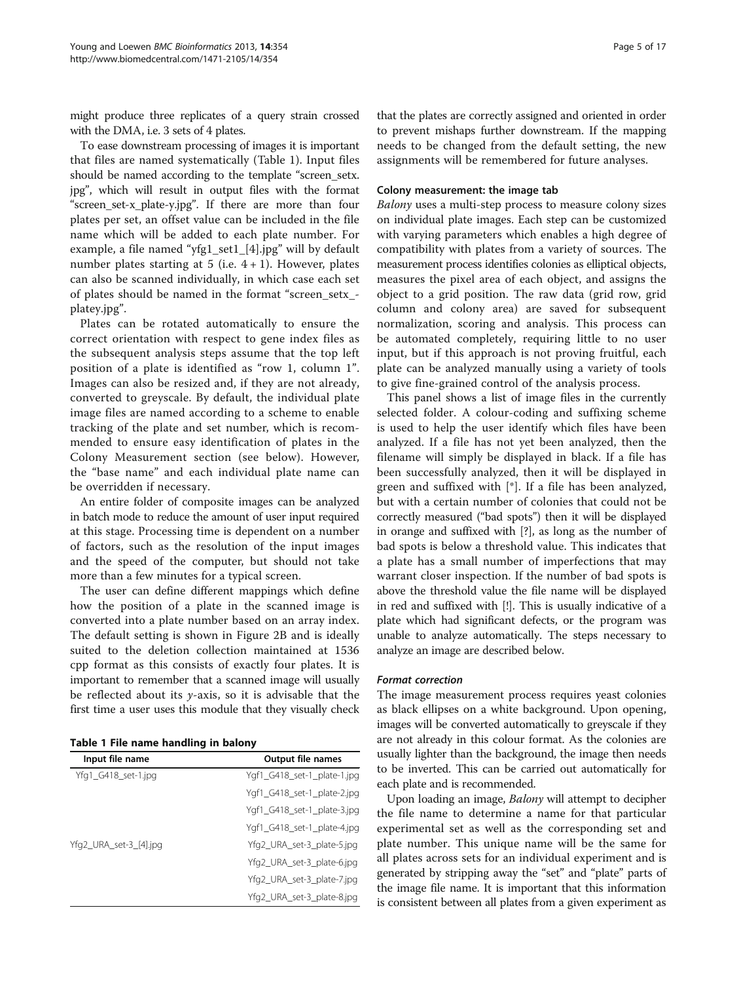might produce three replicates of a query strain crossed with the DMA, i.e. 3 sets of 4 plates.

To ease downstream processing of images it is important that files are named systematically (Table 1). Input files should be named according to the template "screen\_setx. jpg", which will result in output files with the format "screen\_set-x\_plate-y.jpg". If there are more than four plates per set, an offset value can be included in the file name which will be added to each plate number. For example, a file named "yfg1\_set1\_[4].jpg" will by default number plates starting at 5 (i.e.  $4 + 1$ ). However, plates can also be scanned individually, in which case each set of plates should be named in the format "screen\_setx\_ platey.jpg".

Plates can be rotated automatically to ensure the correct orientation with respect to gene index files as the subsequent analysis steps assume that the top left position of a plate is identified as "row 1, column 1". Images can also be resized and, if they are not already, converted to greyscale. By default, the individual plate image files are named according to a scheme to enable tracking of the plate and set number, which is recommended to ensure easy identification of plates in the Colony Measurement section (see below). However, the "base name" and each individual plate name can be overridden if necessary.

An entire folder of composite images can be analyzed in batch mode to reduce the amount of user input required at this stage. Processing time is dependent on a number of factors, such as the resolution of the input images and the speed of the computer, but should not take more than a few minutes for a typical screen.

The user can define different mappings which define how the position of a plate in the scanned image is converted into a plate number based on an array index. The default setting is shown in Figure [2B](#page-3-0) and is ideally suited to the deletion collection maintained at 1536 cpp format as this consists of exactly four plates. It is important to remember that a scanned image will usually be reflected about its  $y$ -axis, so it is advisable that the first time a user uses this module that they visually check

Table 1 File name handling in balony

| Input file name        | <b>Output file names</b>    |
|------------------------|-----------------------------|
| Yfg1_G418_set-1.jpg    | Ygf1_G418_set-1_plate-1.jpg |
|                        | Ygf1_G418_set-1_plate-2.jpg |
|                        | Ygf1_G418_set-1_plate-3.jpg |
|                        | Ygf1_G418_set-1_plate-4.jpg |
| Yfg2_URA_set-3_[4].jpg | Yfg2_URA_set-3_plate-5.jpg  |
|                        | Yfg2_URA_set-3_plate-6.jpg  |
|                        | Yfg2_URA_set-3_plate-7.jpg  |
|                        | Yfg2_URA_set-3_plate-8.jpg  |

that the plates are correctly assigned and oriented in order to prevent mishaps further downstream. If the mapping needs to be changed from the default setting, the new assignments will be remembered for future analyses.

#### Colony measurement: the image tab

Balony uses a multi-step process to measure colony sizes on individual plate images. Each step can be customized with varying parameters which enables a high degree of compatibility with plates from a variety of sources. The measurement process identifies colonies as elliptical objects, measures the pixel area of each object, and assigns the object to a grid position. The raw data (grid row, grid column and colony area) are saved for subsequent normalization, scoring and analysis. This process can be automated completely, requiring little to no user input, but if this approach is not proving fruitful, each plate can be analyzed manually using a variety of tools to give fine-grained control of the analysis process.

This panel shows a list of image files in the currently selected folder. A colour-coding and suffixing scheme is used to help the user identify which files have been analyzed. If a file has not yet been analyzed, then the filename will simply be displayed in black. If a file has been successfully analyzed, then it will be displayed in green and suffixed with [\*]. If a file has been analyzed, but with a certain number of colonies that could not be correctly measured ("bad spots") then it will be displayed in orange and suffixed with [?], as long as the number of bad spots is below a threshold value. This indicates that a plate has a small number of imperfections that may warrant closer inspection. If the number of bad spots is above the threshold value the file name will be displayed in red and suffixed with [!]. This is usually indicative of a plate which had significant defects, or the program was unable to analyze automatically. The steps necessary to analyze an image are described below.

## Format correction

The image measurement process requires yeast colonies as black ellipses on a white background. Upon opening, images will be converted automatically to greyscale if they are not already in this colour format. As the colonies are usually lighter than the background, the image then needs to be inverted. This can be carried out automatically for each plate and is recommended.

Upon loading an image, Balony will attempt to decipher the file name to determine a name for that particular experimental set as well as the corresponding set and plate number. This unique name will be the same for all plates across sets for an individual experiment and is generated by stripping away the "set" and "plate" parts of the image file name. It is important that this information is consistent between all plates from a given experiment as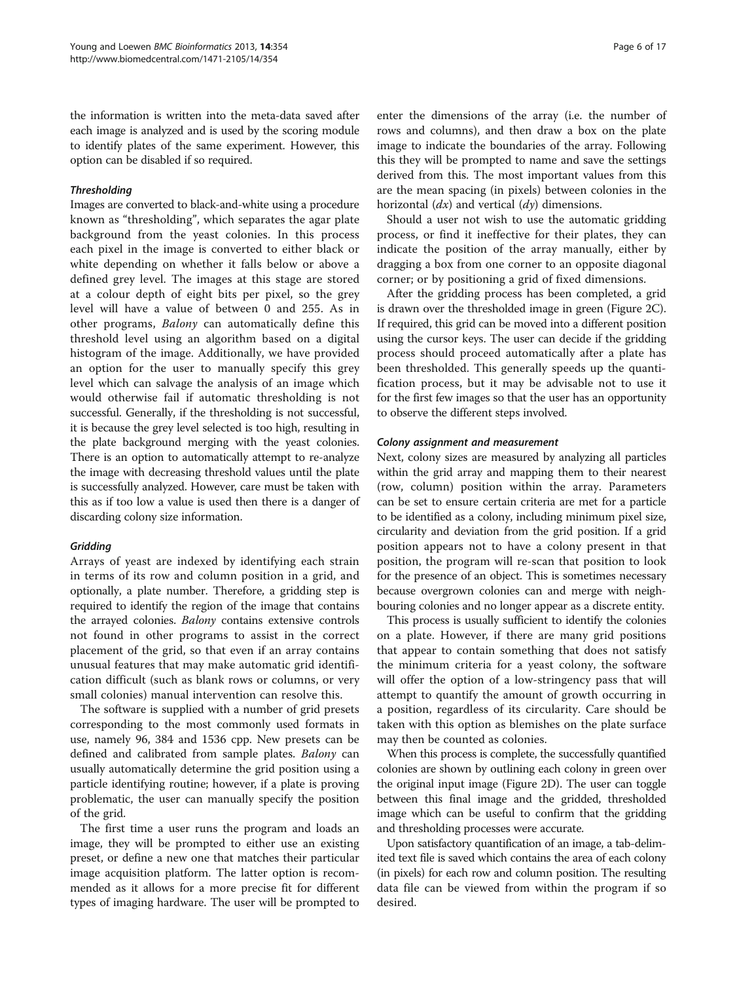the information is written into the meta-data saved after each image is analyzed and is used by the scoring module to identify plates of the same experiment. However, this option can be disabled if so required.

## **Thresholding**

Images are converted to black-and-white using a procedure known as "thresholding", which separates the agar plate background from the yeast colonies. In this process each pixel in the image is converted to either black or white depending on whether it falls below or above a defined grey level. The images at this stage are stored at a colour depth of eight bits per pixel, so the grey level will have a value of between 0 and 255. As in other programs, Balony can automatically define this threshold level using an algorithm based on a digital histogram of the image. Additionally, we have provided an option for the user to manually specify this grey level which can salvage the analysis of an image which would otherwise fail if automatic thresholding is not successful. Generally, if the thresholding is not successful, it is because the grey level selected is too high, resulting in the plate background merging with the yeast colonies. There is an option to automatically attempt to re-analyze the image with decreasing threshold values until the plate is successfully analyzed. However, care must be taken with this as if too low a value is used then there is a danger of discarding colony size information.

## Gridding

Arrays of yeast are indexed by identifying each strain in terms of its row and column position in a grid, and optionally, a plate number. Therefore, a gridding step is required to identify the region of the image that contains the arrayed colonies. Balony contains extensive controls not found in other programs to assist in the correct placement of the grid, so that even if an array contains unusual features that may make automatic grid identification difficult (such as blank rows or columns, or very small colonies) manual intervention can resolve this.

The software is supplied with a number of grid presets corresponding to the most commonly used formats in use, namely 96, 384 and 1536 cpp. New presets can be defined and calibrated from sample plates. Balony can usually automatically determine the grid position using a particle identifying routine; however, if a plate is proving problematic, the user can manually specify the position of the grid.

The first time a user runs the program and loads an image, they will be prompted to either use an existing preset, or define a new one that matches their particular image acquisition platform. The latter option is recommended as it allows for a more precise fit for different types of imaging hardware. The user will be prompted to

enter the dimensions of the array (i.e. the number of rows and columns), and then draw a box on the plate image to indicate the boundaries of the array. Following this they will be prompted to name and save the settings derived from this. The most important values from this are the mean spacing (in pixels) between colonies in the horizontal  $(dx)$  and vertical  $(dy)$  dimensions.

Should a user not wish to use the automatic gridding process, or find it ineffective for their plates, they can indicate the position of the array manually, either by dragging a box from one corner to an opposite diagonal corner; or by positioning a grid of fixed dimensions.

After the gridding process has been completed, a grid is drawn over the thresholded image in green (Figure [2C](#page-3-0)). If required, this grid can be moved into a different position using the cursor keys. The user can decide if the gridding process should proceed automatically after a plate has been thresholded. This generally speeds up the quantification process, but it may be advisable not to use it for the first few images so that the user has an opportunity to observe the different steps involved.

## Colony assignment and measurement

Next, colony sizes are measured by analyzing all particles within the grid array and mapping them to their nearest (row, column) position within the array. Parameters can be set to ensure certain criteria are met for a particle to be identified as a colony, including minimum pixel size, circularity and deviation from the grid position. If a grid position appears not to have a colony present in that position, the program will re-scan that position to look for the presence of an object. This is sometimes necessary because overgrown colonies can and merge with neighbouring colonies and no longer appear as a discrete entity.

This process is usually sufficient to identify the colonies on a plate. However, if there are many grid positions that appear to contain something that does not satisfy the minimum criteria for a yeast colony, the software will offer the option of a low-stringency pass that will attempt to quantify the amount of growth occurring in a position, regardless of its circularity. Care should be taken with this option as blemishes on the plate surface may then be counted as colonies.

When this process is complete, the successfully quantified colonies are shown by outlining each colony in green over the original input image (Figure [2](#page-3-0)D). The user can toggle between this final image and the gridded, thresholded image which can be useful to confirm that the gridding and thresholding processes were accurate.

Upon satisfactory quantification of an image, a tab-delimited text file is saved which contains the area of each colony (in pixels) for each row and column position. The resulting data file can be viewed from within the program if so desired.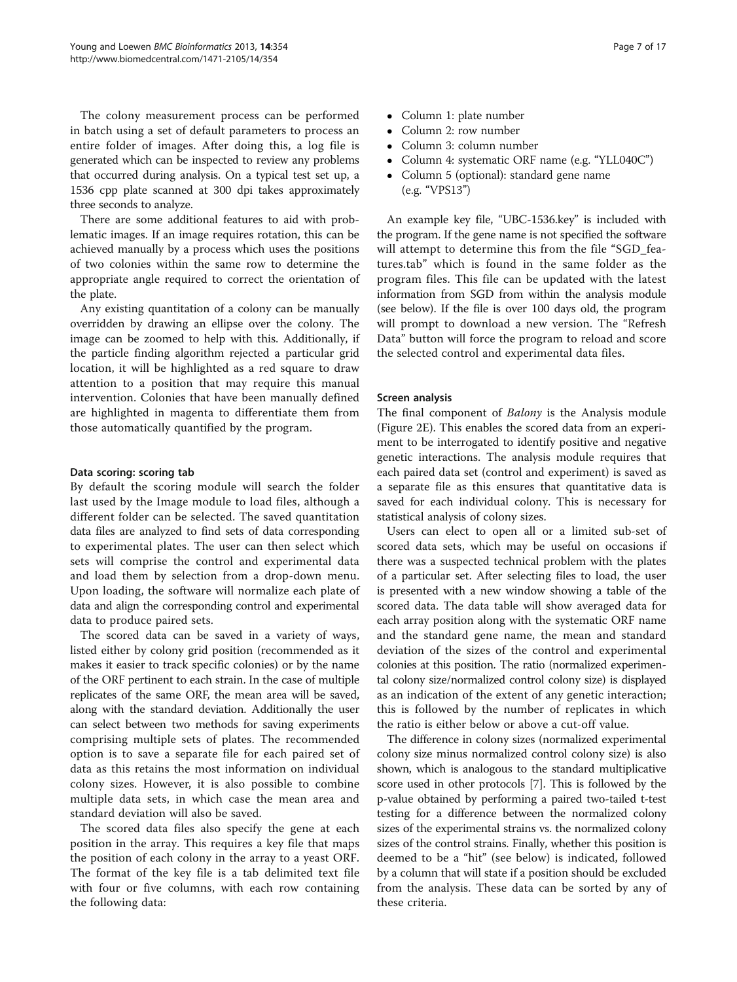The colony measurement process can be performed in batch using a set of default parameters to process an entire folder of images. After doing this, a log file is generated which can be inspected to review any problems that occurred during analysis. On a typical test set up, a 1536 cpp plate scanned at 300 dpi takes approximately three seconds to analyze.

There are some additional features to aid with problematic images. If an image requires rotation, this can be achieved manually by a process which uses the positions of two colonies within the same row to determine the appropriate angle required to correct the orientation of the plate.

Any existing quantitation of a colony can be manually overridden by drawing an ellipse over the colony. The image can be zoomed to help with this. Additionally, if the particle finding algorithm rejected a particular grid location, it will be highlighted as a red square to draw attention to a position that may require this manual intervention. Colonies that have been manually defined are highlighted in magenta to differentiate them from those automatically quantified by the program.

## Data scoring: scoring tab

By default the scoring module will search the folder last used by the Image module to load files, although a different folder can be selected. The saved quantitation data files are analyzed to find sets of data corresponding to experimental plates. The user can then select which sets will comprise the control and experimental data and load them by selection from a drop-down menu. Upon loading, the software will normalize each plate of data and align the corresponding control and experimental data to produce paired sets.

The scored data can be saved in a variety of ways, listed either by colony grid position (recommended as it makes it easier to track specific colonies) or by the name of the ORF pertinent to each strain. In the case of multiple replicates of the same ORF, the mean area will be saved, along with the standard deviation. Additionally the user can select between two methods for saving experiments comprising multiple sets of plates. The recommended option is to save a separate file for each paired set of data as this retains the most information on individual colony sizes. However, it is also possible to combine multiple data sets, in which case the mean area and standard deviation will also be saved.

The scored data files also specify the gene at each position in the array. This requires a key file that maps the position of each colony in the array to a yeast ORF. The format of the key file is a tab delimited text file with four or five columns, with each row containing the following data:

- $\bullet$ Column 1: plate number
- -Column 2: row number
- -Column 3: column number
- $\bullet$ Column 4: systematic ORF name (e.g. "YLL040C")
- $\bullet$  Column 5 (optional): standard gene name (e.g. "VPS13")

An example key file, "UBC-1536.key" is included with the program. If the gene name is not specified the software will attempt to determine this from the file "SGD\_features.tab" which is found in the same folder as the program files. This file can be updated with the latest information from SGD from within the analysis module (see below). If the file is over 100 days old, the program will prompt to download a new version. The "Refresh Data" button will force the program to reload and score the selected control and experimental data files.

## Screen analysis

The final component of Balony is the Analysis module (Figure [2](#page-3-0)E). This enables the scored data from an experiment to be interrogated to identify positive and negative genetic interactions. The analysis module requires that each paired data set (control and experiment) is saved as a separate file as this ensures that quantitative data is saved for each individual colony. This is necessary for statistical analysis of colony sizes.

Users can elect to open all or a limited sub-set of scored data sets, which may be useful on occasions if there was a suspected technical problem with the plates of a particular set. After selecting files to load, the user is presented with a new window showing a table of the scored data. The data table will show averaged data for each array position along with the systematic ORF name and the standard gene name, the mean and standard deviation of the sizes of the control and experimental colonies at this position. The ratio (normalized experimental colony size/normalized control colony size) is displayed as an indication of the extent of any genetic interaction; this is followed by the number of replicates in which the ratio is either below or above a cut-off value.

The difference in colony sizes (normalized experimental colony size minus normalized control colony size) is also shown, which is analogous to the standard multiplicative score used in other protocols [\[7\]](#page-16-0). This is followed by the p-value obtained by performing a paired two-tailed t-test testing for a difference between the normalized colony sizes of the experimental strains vs. the normalized colony sizes of the control strains. Finally, whether this position is deemed to be a "hit" (see below) is indicated, followed by a column that will state if a position should be excluded from the analysis. These data can be sorted by any of these criteria.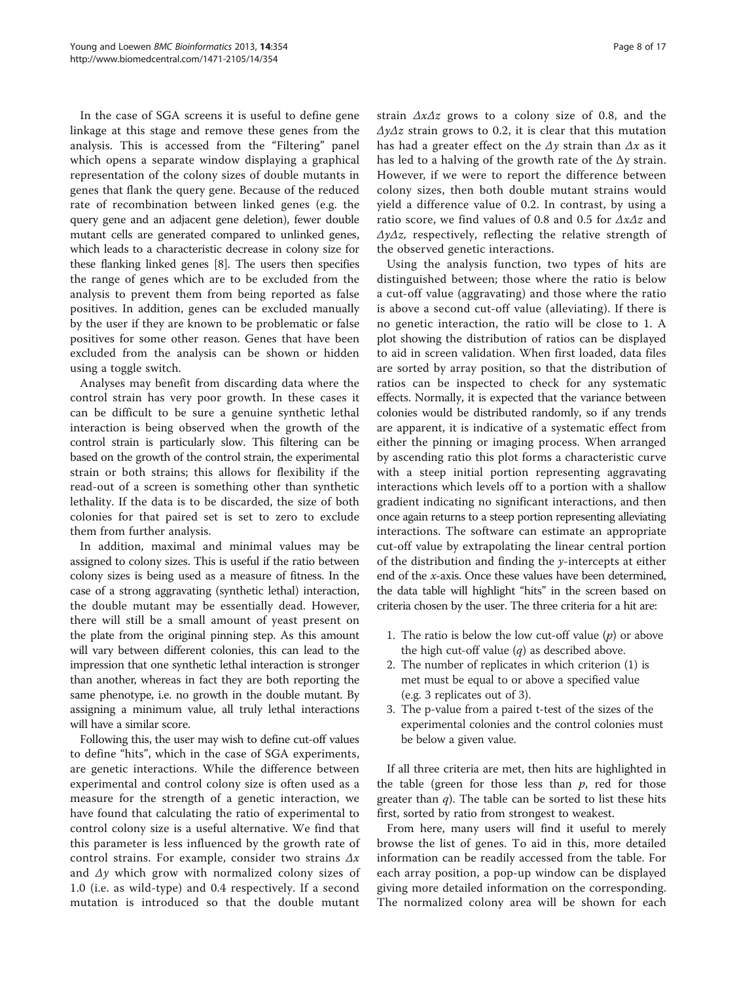In the case of SGA screens it is useful to define gene linkage at this stage and remove these genes from the analysis. This is accessed from the "Filtering" panel which opens a separate window displaying a graphical representation of the colony sizes of double mutants in genes that flank the query gene. Because of the reduced rate of recombination between linked genes (e.g. the query gene and an adjacent gene deletion), fewer double mutant cells are generated compared to unlinked genes, which leads to a characteristic decrease in colony size for these flanking linked genes [\[8\]](#page-16-0). The users then specifies the range of genes which are to be excluded from the analysis to prevent them from being reported as false positives. In addition, genes can be excluded manually by the user if they are known to be problematic or false positives for some other reason. Genes that have been excluded from the analysis can be shown or hidden using a toggle switch.

Analyses may benefit from discarding data where the control strain has very poor growth. In these cases it can be difficult to be sure a genuine synthetic lethal interaction is being observed when the growth of the control strain is particularly slow. This filtering can be based on the growth of the control strain, the experimental strain or both strains; this allows for flexibility if the read-out of a screen is something other than synthetic lethality. If the data is to be discarded, the size of both colonies for that paired set is set to zero to exclude them from further analysis.

In addition, maximal and minimal values may be assigned to colony sizes. This is useful if the ratio between colony sizes is being used as a measure of fitness. In the case of a strong aggravating (synthetic lethal) interaction, the double mutant may be essentially dead. However, there will still be a small amount of yeast present on the plate from the original pinning step. As this amount will vary between different colonies, this can lead to the impression that one synthetic lethal interaction is stronger than another, whereas in fact they are both reporting the same phenotype, i.e. no growth in the double mutant. By assigning a minimum value, all truly lethal interactions will have a similar score.

Following this, the user may wish to define cut-off values to define "hits", which in the case of SGA experiments, are genetic interactions. While the difference between experimental and control colony size is often used as a measure for the strength of a genetic interaction, we have found that calculating the ratio of experimental to control colony size is a useful alternative. We find that this parameter is less influenced by the growth rate of control strains. For example, consider two strains  $\Delta x$ and  $\Delta y$  which grow with normalized colony sizes of 1.0 (i.e. as wild-type) and 0.4 respectively. If a second mutation is introduced so that the double mutant

strain  $\Delta x \Delta z$  grows to a colony size of 0.8, and the  $\Delta y \Delta z$  strain grows to 0.2, it is clear that this mutation has had a greater effect on the  $\Delta y$  strain than  $\Delta x$  as it has led to a halving of the growth rate of the Δy strain. However, if we were to report the difference between colony sizes, then both double mutant strains would yield a difference value of 0.2. In contrast, by using a ratio score, we find values of 0.8 and 0.5 for  $\Delta x \Delta z$  and  $\Delta y \Delta z$ , respectively, reflecting the relative strength of the observed genetic interactions.

Using the analysis function, two types of hits are distinguished between; those where the ratio is below a cut-off value (aggravating) and those where the ratio is above a second cut-off value (alleviating). If there is no genetic interaction, the ratio will be close to 1. A plot showing the distribution of ratios can be displayed to aid in screen validation. When first loaded, data files are sorted by array position, so that the distribution of ratios can be inspected to check for any systematic effects. Normally, it is expected that the variance between colonies would be distributed randomly, so if any trends are apparent, it is indicative of a systematic effect from either the pinning or imaging process. When arranged by ascending ratio this plot forms a characteristic curve with a steep initial portion representing aggravating interactions which levels off to a portion with a shallow gradient indicating no significant interactions, and then once again returns to a steep portion representing alleviating interactions. The software can estimate an appropriate cut-off value by extrapolating the linear central portion of the distribution and finding the  $y$ -intercepts at either end of the x-axis. Once these values have been determined, the data table will highlight "hits" in the screen based on criteria chosen by the user. The three criteria for a hit are:

- 1. The ratio is below the low cut-off value  $(p)$  or above the high cut-off value  $(q)$  as described above.
- 2. The number of replicates in which criterion (1) is met must be equal to or above a specified value (e.g. 3 replicates out of 3).
- 3. The p-value from a paired t-test of the sizes of the experimental colonies and the control colonies must be below a given value.

If all three criteria are met, then hits are highlighted in the table (green for those less than  $p$ , red for those greater than  $q$ ). The table can be sorted to list these hits first, sorted by ratio from strongest to weakest.

From here, many users will find it useful to merely browse the list of genes. To aid in this, more detailed information can be readily accessed from the table. For each array position, a pop-up window can be displayed giving more detailed information on the corresponding. The normalized colony area will be shown for each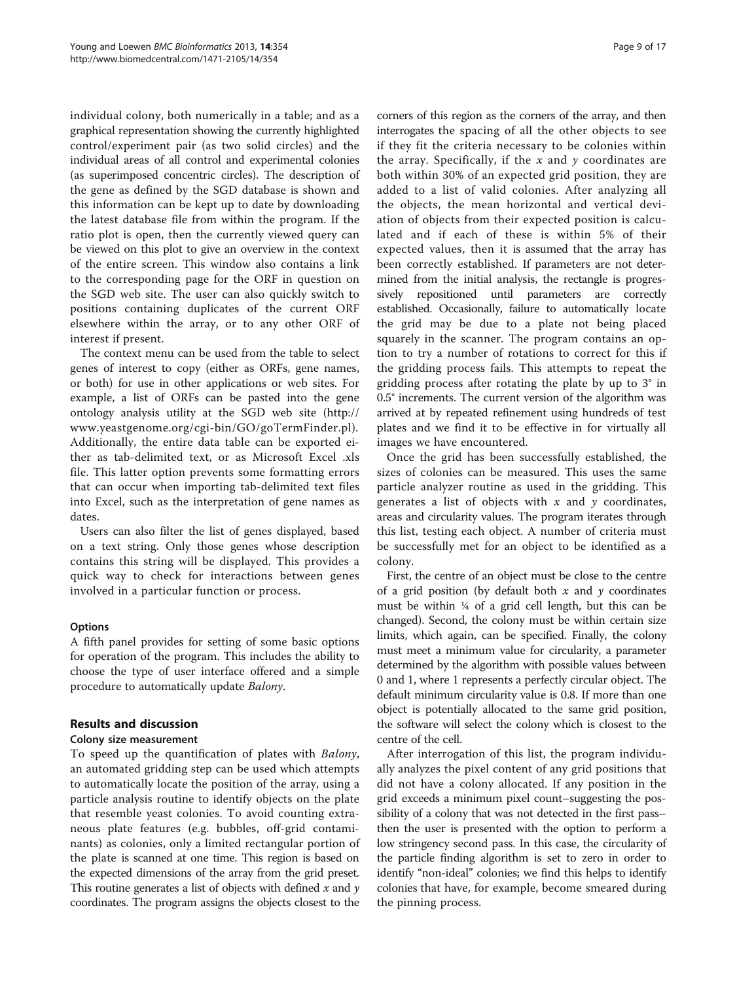individual colony, both numerically in a table; and as a graphical representation showing the currently highlighted control/experiment pair (as two solid circles) and the individual areas of all control and experimental colonies (as superimposed concentric circles). The description of the gene as defined by the SGD database is shown and this information can be kept up to date by downloading the latest database file from within the program. If the ratio plot is open, then the currently viewed query can be viewed on this plot to give an overview in the context of the entire screen. This window also contains a link to the corresponding page for the ORF in question on the SGD web site. The user can also quickly switch to positions containing duplicates of the current ORF elsewhere within the array, or to any other ORF of interest if present.

The context menu can be used from the table to select genes of interest to copy (either as ORFs, gene names, or both) for use in other applications or web sites. For example, a list of ORFs can be pasted into the gene ontology analysis utility at the SGD web site [\(http://](http://www.yeastgenome.org/cgi-bin/GO/goTermFinder.pl) [www.yeastgenome.org/cgi-bin/GO/goTermFinder.pl](http://www.yeastgenome.org/cgi-bin/GO/goTermFinder.pl)). Additionally, the entire data table can be exported either as tab-delimited text, or as Microsoft Excel .xls file. This latter option prevents some formatting errors that can occur when importing tab-delimited text files into Excel, such as the interpretation of gene names as dates.

Users can also filter the list of genes displayed, based on a text string. Only those genes whose description contains this string will be displayed. This provides a quick way to check for interactions between genes involved in a particular function or process.

## **Options**

A fifth panel provides for setting of some basic options for operation of the program. This includes the ability to choose the type of user interface offered and a simple procedure to automatically update *Balony*.

## Results and discussion

#### Colony size measurement

To speed up the quantification of plates with Balony, an automated gridding step can be used which attempts to automatically locate the position of the array, using a particle analysis routine to identify objects on the plate that resemble yeast colonies. To avoid counting extraneous plate features (e.g. bubbles, off-grid contaminants) as colonies, only a limited rectangular portion of the plate is scanned at one time. This region is based on the expected dimensions of the array from the grid preset. This routine generates a list of objects with defined  $x$  and  $y$ coordinates. The program assigns the objects closest to the

corners of this region as the corners of the array, and then interrogates the spacing of all the other objects to see if they fit the criteria necessary to be colonies within the array. Specifically, if the  $x$  and  $y$  coordinates are both within 30% of an expected grid position, they are added to a list of valid colonies. After analyzing all the objects, the mean horizontal and vertical deviation of objects from their expected position is calculated and if each of these is within 5% of their expected values, then it is assumed that the array has been correctly established. If parameters are not determined from the initial analysis, the rectangle is progressively repositioned until parameters are correctly established. Occasionally, failure to automatically locate the grid may be due to a plate not being placed squarely in the scanner. The program contains an option to try a number of rotations to correct for this if the gridding process fails. This attempts to repeat the gridding process after rotating the plate by up to 3° in 0.5° increments. The current version of the algorithm was arrived at by repeated refinement using hundreds of test plates and we find it to be effective in for virtually all images we have encountered.

Once the grid has been successfully established, the sizes of colonies can be measured. This uses the same particle analyzer routine as used in the gridding. This generates a list of objects with  $x$  and  $y$  coordinates, areas and circularity values. The program iterates through this list, testing each object. A number of criteria must be successfully met for an object to be identified as a colony.

First, the centre of an object must be close to the centre of a grid position (by default both  $x$  and  $y$  coordinates must be within ¼ of a grid cell length, but this can be changed). Second, the colony must be within certain size limits, which again, can be specified. Finally, the colony must meet a minimum value for circularity, a parameter determined by the algorithm with possible values between 0 and 1, where 1 represents a perfectly circular object. The default minimum circularity value is 0.8. If more than one object is potentially allocated to the same grid position, the software will select the colony which is closest to the centre of the cell.

After interrogation of this list, the program individually analyzes the pixel content of any grid positions that did not have a colony allocated. If any position in the grid exceeds a minimum pixel count–suggesting the possibility of a colony that was not detected in the first pass– then the user is presented with the option to perform a low stringency second pass. In this case, the circularity of the particle finding algorithm is set to zero in order to identify "non-ideal" colonies; we find this helps to identify colonies that have, for example, become smeared during the pinning process.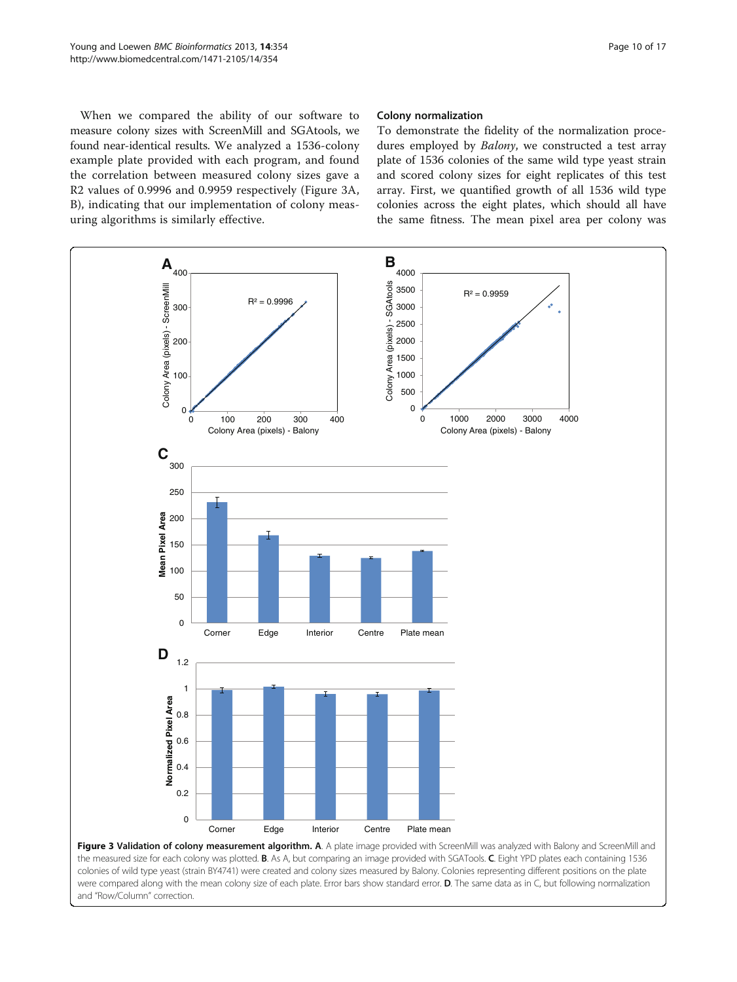<span id="page-9-0"></span>When we compared the ability of our software to measure colony sizes with ScreenMill and SGAtools, we found near-identical results. We analyzed a 1536-colony example plate provided with each program, and found the correlation between measured colony sizes gave a R[2](#page-16-0) values of 0.9996 and 0.9959 respectively (Figure 3A, B), indicating that our implementation of colony measuring algorithms is similarly effective.

## Colony normalization

To demonstrate the fidelity of the normalization procedures employed by *Balony*, we constructed a test array plate of 1536 colonies of the same wild type yeast strain and scored colony sizes for eight replicates of this test array. First, we quantified growth of all 1536 wild type colonies across the eight plates, which should all have the same fitness. The mean pixel area per colony was



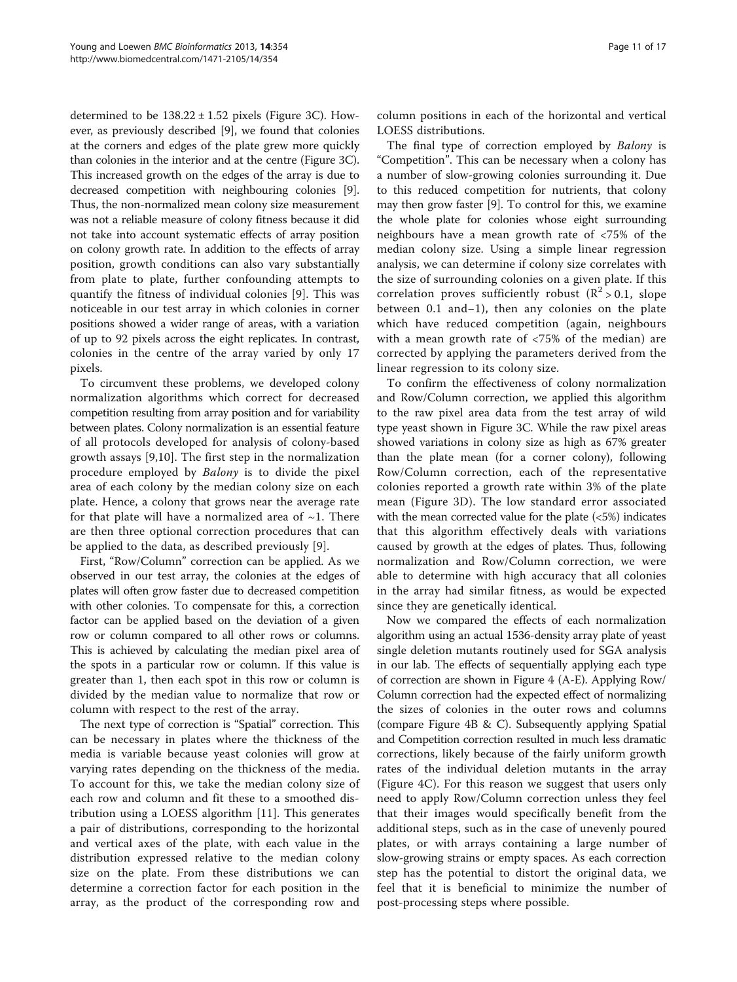determined to be  $138.22 \pm 1.52$  pixels (Figure [3C](#page-9-0)). However, as previously described [\[9](#page-16-0)], we found that colonies at the corners and edges of the plate grew more quickly than colonies in the interior and at the centre (Figure [3C](#page-9-0)). This increased growth on the edges of the array is due to decreased competition with neighbouring colonies [[9](#page-16-0)]. Thus, the non-normalized mean colony size measurement was not a reliable measure of colony fitness because it did not take into account systematic effects of array position on colony growth rate. In addition to the effects of array position, growth conditions can also vary substantially from plate to plate, further confounding attempts to quantify the fitness of individual colonies [[9](#page-16-0)]. This was noticeable in our test array in which colonies in corner positions showed a wider range of areas, with a variation of up to 92 pixels across the eight replicates. In contrast, colonies in the centre of the array varied by only 17 pixels.

To circumvent these problems, we developed colony normalization algorithms which correct for decreased competition resulting from array position and for variability between plates. Colony normalization is an essential feature of all protocols developed for analysis of colony-based growth assays [[9,10\]](#page-16-0). The first step in the normalization procedure employed by Balony is to divide the pixel area of each colony by the median colony size on each plate. Hence, a colony that grows near the average rate for that plate will have a normalized area of  $\sim$ 1. There are then three optional correction procedures that can be applied to the data, as described previously [[9\]](#page-16-0).

First, "Row/Column" correction can be applied. As we observed in our test array, the colonies at the edges of plates will often grow faster due to decreased competition with other colonies. To compensate for this, a correction factor can be applied based on the deviation of a given row or column compared to all other rows or columns. This is achieved by calculating the median pixel area of the spots in a particular row or column. If this value is greater than 1, then each spot in this row or column is divided by the median value to normalize that row or column with respect to the rest of the array.

The next type of correction is "Spatial" correction. This can be necessary in plates where the thickness of the media is variable because yeast colonies will grow at varying rates depending on the thickness of the media. To account for this, we take the median colony size of each row and column and fit these to a smoothed distribution using a LOESS algorithm [[11\]](#page-16-0). This generates a pair of distributions, corresponding to the horizontal and vertical axes of the plate, with each value in the distribution expressed relative to the median colony size on the plate. From these distributions we can determine a correction factor for each position in the array, as the product of the corresponding row and

column positions in each of the horizontal and vertical LOESS distributions.

The final type of correction employed by Balony is "Competition". This can be necessary when a colony has a number of slow-growing colonies surrounding it. Due to this reduced competition for nutrients, that colony may then grow faster [[9\]](#page-16-0). To control for this, we examine the whole plate for colonies whose eight surrounding neighbours have a mean growth rate of <75% of the median colony size. Using a simple linear regression analysis, we can determine if colony size correlates with the size of surrounding colonies on a given plate. If this correlation proves sufficiently robust  $(R^2 > 0.1,$  slope between 0.1 and−1), then any colonies on the plate which have reduced competition (again, neighbours with a mean growth rate of <75% of the median) are corrected by applying the parameters derived from the linear regression to its colony size.

To confirm the effectiveness of colony normalization and Row/Column correction, we applied this algorithm to the raw pixel area data from the test array of wild type yeast shown in Figure [3](#page-9-0)C. While the raw pixel areas showed variations in colony size as high as 67% greater than the plate mean (for a corner colony), following Row/Column correction, each of the representative colonies reported a growth rate within 3% of the plate mean (Figure [3D](#page-9-0)). The low standard error associated with the mean corrected value for the plate (<5%) indicates that this algorithm effectively deals with variations caused by growth at the edges of plates. Thus, following normalization and Row/Column correction, we were able to determine with high accuracy that all colonies in the array had similar fitness, as would be expected since they are genetically identical.

Now we compared the effects of each normalization algorithm using an actual 1536-density array plate of yeast single deletion mutants routinely used for SGA analysis in our lab. The effects of sequentially applying each type of correction are shown in Figure [4](#page-11-0) (A-E). Applying Row/ Column correction had the expected effect of normalizing the sizes of colonies in the outer rows and columns (compare Figure [4](#page-11-0)B & C). Subsequently applying Spatial and Competition correction resulted in much less dramatic corrections, likely because of the fairly uniform growth rates of the individual deletion mutants in the array (Figure [4C](#page-11-0)). For this reason we suggest that users only need to apply Row/Column correction unless they feel that their images would specifically benefit from the additional steps, such as in the case of unevenly poured plates, or with arrays containing a large number of slow-growing strains or empty spaces. As each correction step has the potential to distort the original data, we feel that it is beneficial to minimize the number of post-processing steps where possible.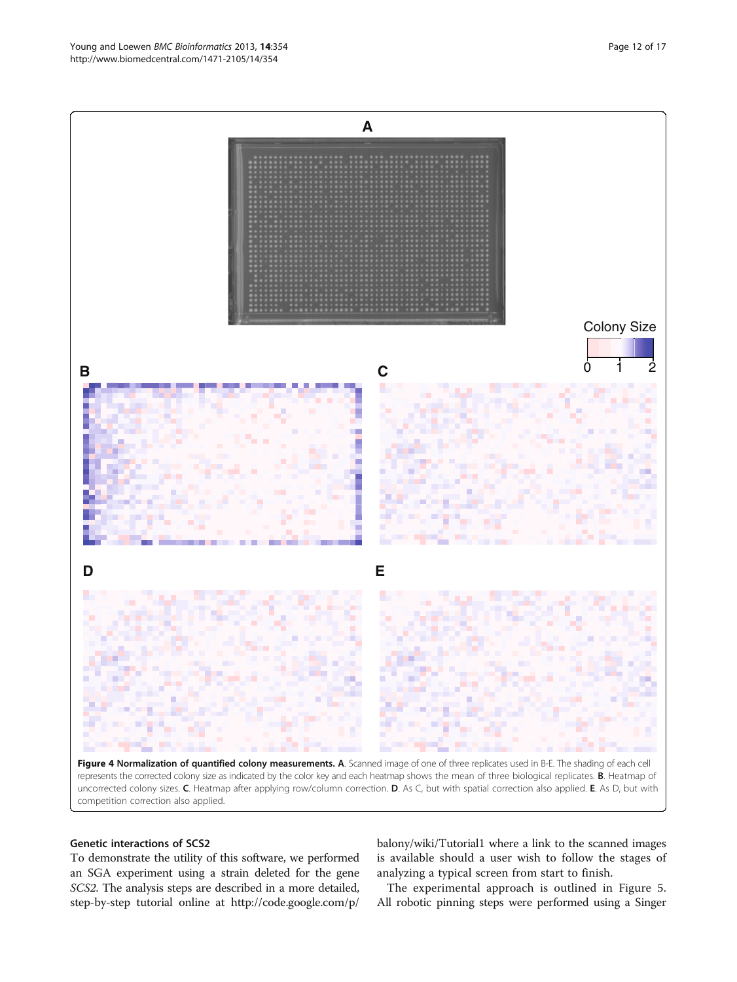<span id="page-11-0"></span>

#### Genetic interactions of SCS2

To demonstrate the utility of this software, we performed an SGA experiment using a strain deleted for the gene SCS2. The analysis steps are described in a more detailed, step-by-step tutorial online at [http://code.google.com/p/](http://code.google.com/p/balony/wiki/Tutorial1)

[balony/wiki/Tutorial1](http://code.google.com/p/balony/wiki/Tutorial1) where a link to the scanned images is available should a user wish to follow the stages of analyzing a typical screen from start to finish.

The experimental approach is outlined in Figure [5](#page-12-0). All robotic pinning steps were performed using a Singer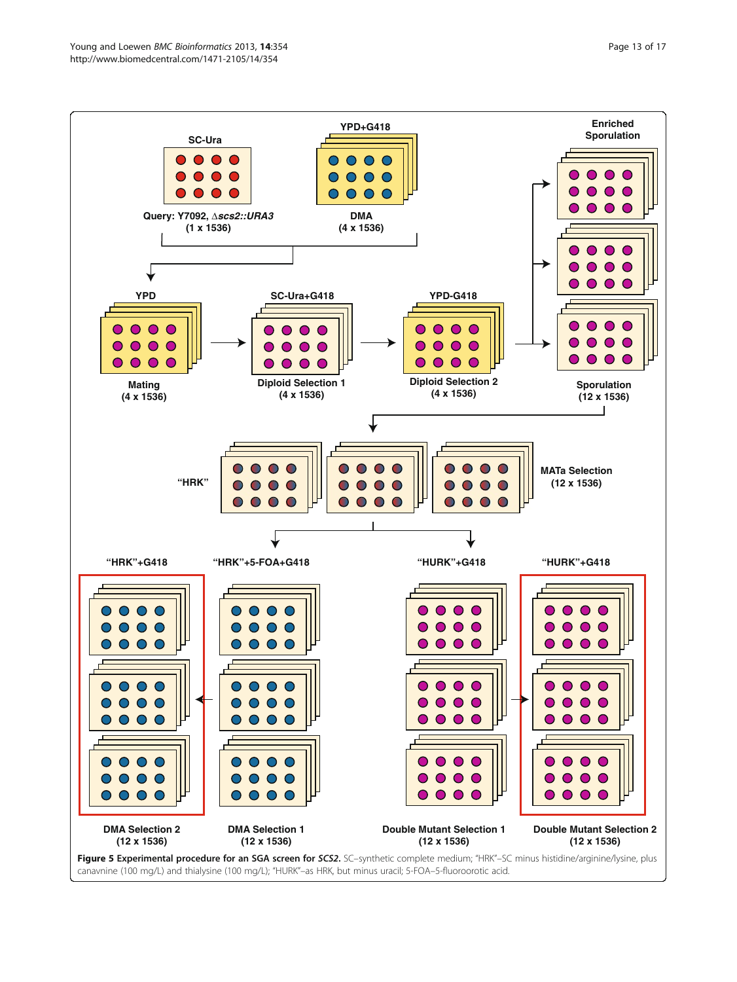<span id="page-12-0"></span>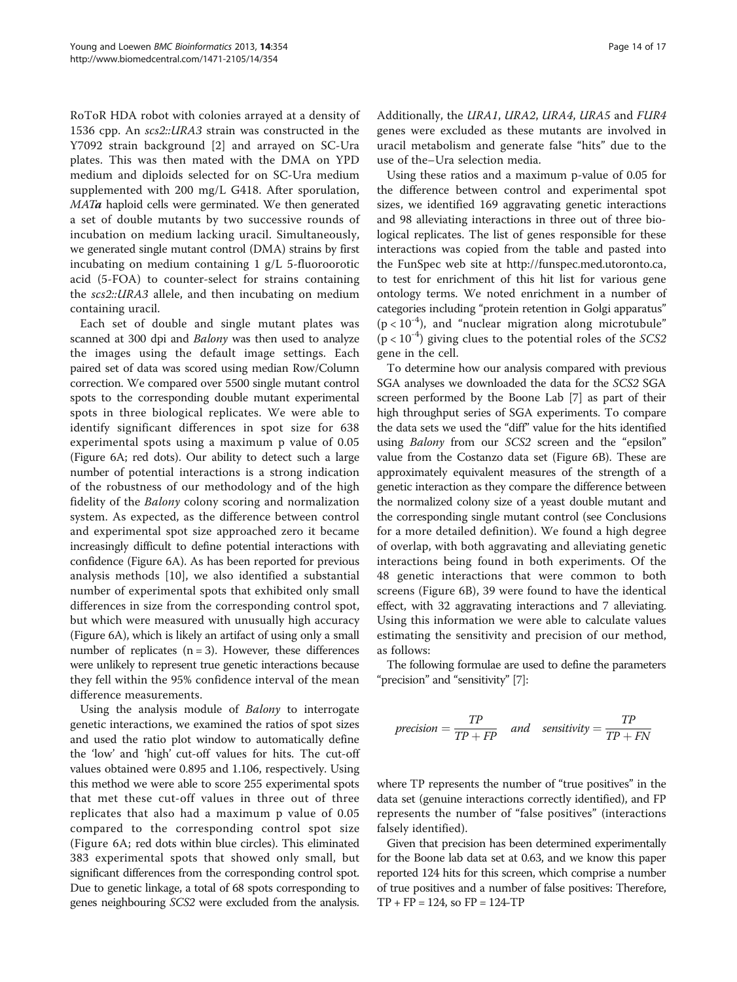RoToR HDA robot with colonies arrayed at a density of 1536 cpp. An scs2::URA3 strain was constructed in the Y7092 strain background [\[2](#page-16-0)] and arrayed on SC-Ura plates. This was then mated with the DMA on YPD medium and diploids selected for on SC-Ura medium supplemented with 200 mg/L G418. After sporulation, MATa haploid cells were germinated. We then generated a set of double mutants by two successive rounds of incubation on medium lacking uracil. Simultaneously, we generated single mutant control (DMA) strains by first incubating on medium containing 1 g/L 5-fluoroorotic acid (5-FOA) to counter-select for strains containing the scs2::URA3 allele, and then incubating on medium containing uracil.

Each set of double and single mutant plates was scanned at 300 dpi and Balony was then used to analyze the images using the default image settings. Each paired set of data was scored using median Row/Column correction. We compared over 5500 single mutant control spots to the corresponding double mutant experimental spots in three biological replicates. We were able to identify significant differences in spot size for 638 experimental spots using a maximum p value of 0.05 (Figure [6](#page-15-0)A; red dots). Our ability to detect such a large number of potential interactions is a strong indication of the robustness of our methodology and of the high fidelity of the Balony colony scoring and normalization system. As expected, as the difference between control and experimental spot size approached zero it became increasingly difficult to define potential interactions with confidence (Figure [6A](#page-15-0)). As has been reported for previous analysis methods [[10\]](#page-16-0), we also identified a substantial number of experimental spots that exhibited only small differences in size from the corresponding control spot, but which were measured with unusually high accuracy (Figure [6](#page-15-0)A), which is likely an artifact of using only a small number of replicates  $(n = 3)$ . However, these differences were unlikely to represent true genetic interactions because they fell within the 95% confidence interval of the mean difference measurements.

Using the analysis module of Balony to interrogate genetic interactions, we examined the ratios of spot sizes and used the ratio plot window to automatically define the 'low' and 'high' cut-off values for hits. The cut-off values obtained were 0.895 and 1.106, respectively. Using this method we were able to score 255 experimental spots that met these cut-off values in three out of three replicates that also had a maximum p value of 0.05 compared to the corresponding control spot size (Figure [6](#page-15-0)A; red dots within blue circles). This eliminated 383 experimental spots that showed only small, but significant differences from the corresponding control spot. Due to genetic linkage, a total of 68 spots corresponding to genes neighbouring SCS2 were excluded from the analysis.

Additionally, the URA1, URA2, URA4, URA5 and FUR4 genes were excluded as these mutants are involved in uracil metabolism and generate false "hits" due to the use of the–Ura selection media.

Using these ratios and a maximum p-value of 0.05 for the difference between control and experimental spot sizes, we identified 169 aggravating genetic interactions and 98 alleviating interactions in three out of three biological replicates. The list of genes responsible for these interactions was copied from the table and pasted into the FunSpec web site at<http://funspec.med.utoronto.ca>, to test for enrichment of this hit list for various gene ontology terms. We noted enrichment in a number of categories including "protein retention in Golgi apparatus"  $(p < 10^{-4})$ , and "nuclear migration along microtubule"  $(p < 10^{-4})$  giving clues to the potential roles of the SCS2 gene in the cell.

To determine how our analysis compared with previous SGA analyses we downloaded the data for the SCS2 SGA screen performed by the Boone Lab [\[7\]](#page-16-0) as part of their high throughput series of SGA experiments. To compare the data sets we used the "diff" value for the hits identified using Balony from our SCS2 screen and the "epsilon" value from the Costanzo data set (Figure [6B](#page-15-0)). These are approximately equivalent measures of the strength of a genetic interaction as they compare the difference between the normalized colony size of a yeast double mutant and the corresponding single mutant control (see [Conclusions](#page-15-0) for a more detailed definition). We found a high degree of overlap, with both aggravating and alleviating genetic interactions being found in both experiments. Of the 48 genetic interactions that were common to both screens (Figure [6B](#page-15-0)), 39 were found to have the identical effect, with 32 aggravating interactions and 7 alleviating. Using this information we were able to calculate values estimating the sensitivity and precision of our method, as follows:

The following formulae are used to define the parameters "precision" and "sensitivity" [\[7](#page-16-0)]:

$$
precision = \frac{TP}{TP + FP} \quad and \quad sensitivity = \frac{TP}{TP + FN}
$$

where TP represents the number of "true positives" in the data set (genuine interactions correctly identified), and FP represents the number of "false positives" (interactions falsely identified).

Given that precision has been determined experimentally for the Boone lab data set at 0.63, and we know this paper reported 124 hits for this screen, which comprise a number of true positives and a number of false positives: Therefore,  $TP + FP = 124$ , so  $FP = 124 - TP$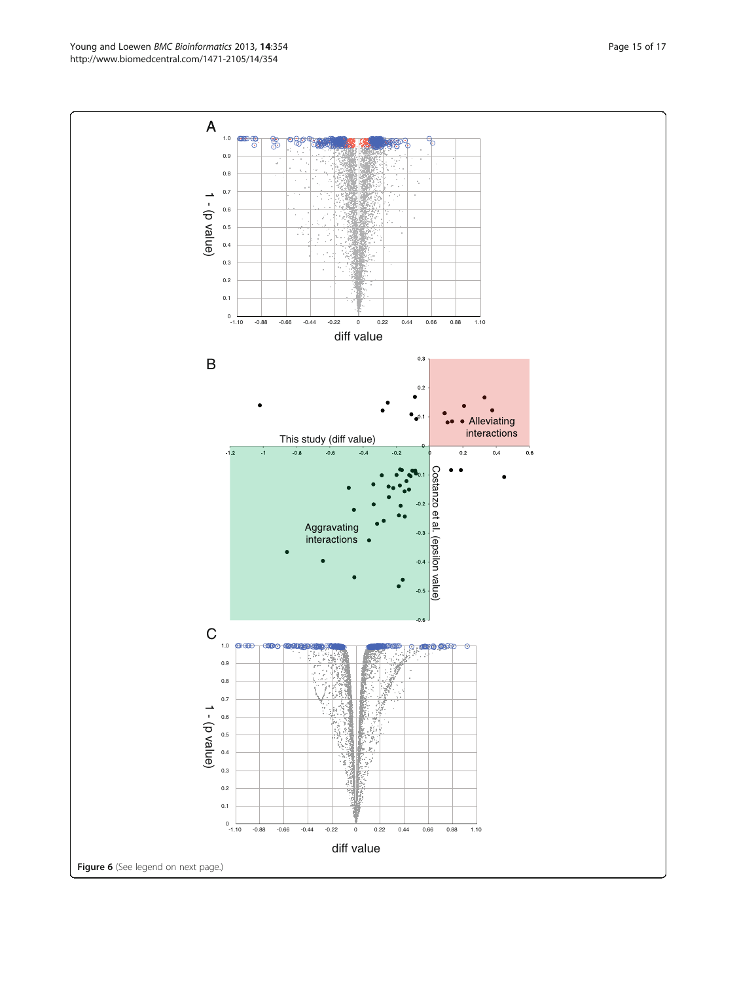Figure 6 (See legend on next page.)

 $0\atop -1.10$ 

憲 0.9 0.8  $\bar{z}$ 0.7 1 - (p value) 1 - (p value) 0.6 à. 0.5 R 0.4 in a 0.3  $\cdot$ 0.2 0.1  $_{-1.10}^{0}$ -1.10 -0.88 -0.66 -0.44 -0.22 0 0.22 0.44 0.66 0.88 1.10 diff value  $0.3$ B  $0.2$ ∵ ص Alleviating interactions This study (diff value)  $\sqrt{2}$  $\overline{0.2}$  $\frac{1}{2}$  $0.6$  $0.2$  $0.4$  $0.6\,$ ୁ Costanzo et al. (epsilon value) pstanzo et al. Aggravating<br>interactions  $0.3$ epsilon value)  $0.4$  $-0.5$  $^{\circ}$ C 1.0  $@@0$  $\circ$  .  $\mathfrak{so}\mathfrak{g}$ **CODO**  $\Theta$ 0.9 0.8 0.7  $1 - (p$  value) 1 - (p value) 0.6 0.5 0.4 ä 0.3 0.2 0.1

> -1.10 -1.10 -1.10 -1.10 -1.10 -1.10 -1.10 -1.10 -1.10 -1.10 -1.10 -1.10 -1.10 -1.10 -1.10 -1.10 diff value

Young and Loewen BMC Bioinformatics 2013, 14:354 Page 15 of 17 http://www.biomedcentral.com/1471-2105/14/354A 1.0  $\bigoplus_{\alpha\in\mathbb{Z}}$ ၁မ္တ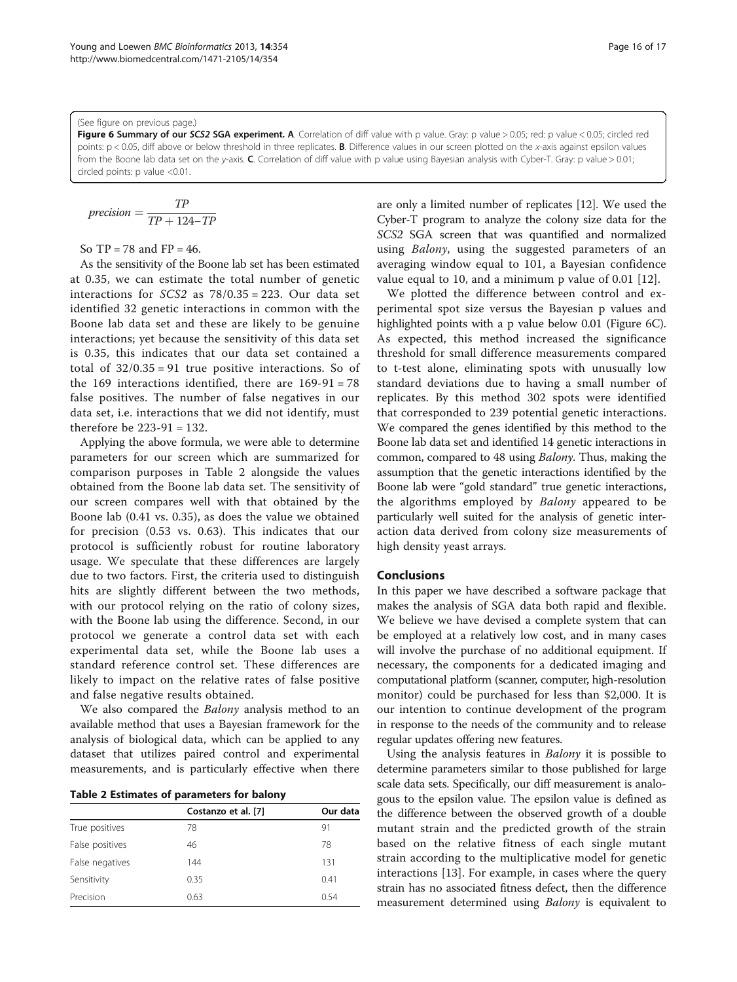#### <span id="page-15-0"></span>(See figure on previous page.)

Figure 6 Summary of our SCS2 SGA experiment. A. Correlation of diff value with p value. Gray: p value > 0.05; red: p value < 0.05; circled red points: p < 0.05, diff above or below threshold in three replicates. **B**. Difference values in our screen plotted on the x-axis against epsilon values from the Boone lab data set on the y-axis. C. Correlation of diff value with p value using Bayesian analysis with Cyber-T. Gray: p value > 0.01; circled points: p value <0.01.

$$
precision = \frac{TP}{TP + 124 - TP}
$$

So  $TP = 78$  and  $FP = 46$ .

As the sensitivity of the Boone lab set has been estimated at 0.35, we can estimate the total number of genetic interactions for  $SCS2$  as  $78/0.35 = 223$ . Our data set identified 32 genetic interactions in common with the Boone lab data set and these are likely to be genuine interactions; yet because the sensitivity of this data set is 0.35, this indicates that our data set contained a total of  $32/0.35 = 91$  true positive interactions. So of the 169 interactions identified, there are 169-91 = 78 false positives. The number of false negatives in our data set, i.e. interactions that we did not identify, must therefore be 223-91 = 132.

Applying the above formula, we were able to determine parameters for our screen which are summarized for comparison purposes in Table 2 alongside the values obtained from the Boone lab data set. The sensitivity of our screen compares well with that obtained by the Boone lab (0.41 vs. 0.35), as does the value we obtained for precision (0.53 vs. 0.63). This indicates that our protocol is sufficiently robust for routine laboratory usage. We speculate that these differences are largely due to two factors. First, the criteria used to distinguish hits are slightly different between the two methods, with our protocol relying on the ratio of colony sizes, with the Boone lab using the difference. Second, in our protocol we generate a control data set with each experimental data set, while the Boone lab uses a standard reference control set. These differences are likely to impact on the relative rates of false positive and false negative results obtained.

We also compared the *Balony* analysis method to an available method that uses a Bayesian framework for the analysis of biological data, which can be applied to any dataset that utilizes paired control and experimental measurements, and is particularly effective when there

| <b>Table 2 Estimates of parameters for balony</b> |  |  |  |
|---------------------------------------------------|--|--|--|
|---------------------------------------------------|--|--|--|

|                 | Costanzo et al. [7] | Our data |  |
|-----------------|---------------------|----------|--|
| True positives  | 78                  | 91       |  |
| False positives | 46                  | 78       |  |
| False negatives | 144                 | 131      |  |
| Sensitivity     | 0.35                | 0.41     |  |
| Precision       | 0.63                | 0.54     |  |

are only a limited number of replicates [[12\]](#page-16-0). We used the Cyber-T program to analyze the colony size data for the SCS2 SGA screen that was quantified and normalized using Balony, using the suggested parameters of an averaging window equal to 101, a Bayesian confidence value equal to 10, and a minimum p value of 0.01 [[12](#page-16-0)].

We plotted the difference between control and experimental spot size versus the Bayesian p values and highlighted points with a p value below 0.01 (Figure 6C). As expected, this method increased the significance threshold for small difference measurements compared to t-test alone, eliminating spots with unusually low standard deviations due to having a small number of replicates. By this method 302 spots were identified that corresponded to 239 potential genetic interactions. We compared the genes identified by this method to the Boone lab data set and identified 14 genetic interactions in common, compared to 48 using Balony. Thus, making the assumption that the genetic interactions identified by the Boone lab were "gold standard" true genetic interactions, the algorithms employed by Balony appeared to be particularly well suited for the analysis of genetic interaction data derived from colony size measurements of high density yeast arrays.

#### Conclusions

In this paper we have described a software package that makes the analysis of SGA data both rapid and flexible. We believe we have devised a complete system that can be employed at a relatively low cost, and in many cases will involve the purchase of no additional equipment. If necessary, the components for a dedicated imaging and computational platform (scanner, computer, high-resolution monitor) could be purchased for less than \$2,000. It is our intention to continue development of the program in response to the needs of the community and to release regular updates offering new features.

Using the analysis features in Balony it is possible to determine parameters similar to those published for large scale data sets. Specifically, our diff measurement is analogous to the epsilon value. The epsilon value is defined as the difference between the observed growth of a double mutant strain and the predicted growth of the strain based on the relative fitness of each single mutant strain according to the multiplicative model for genetic interactions [\[13](#page-16-0)]. For example, in cases where the query strain has no associated fitness defect, then the difference measurement determined using Balony is equivalent to